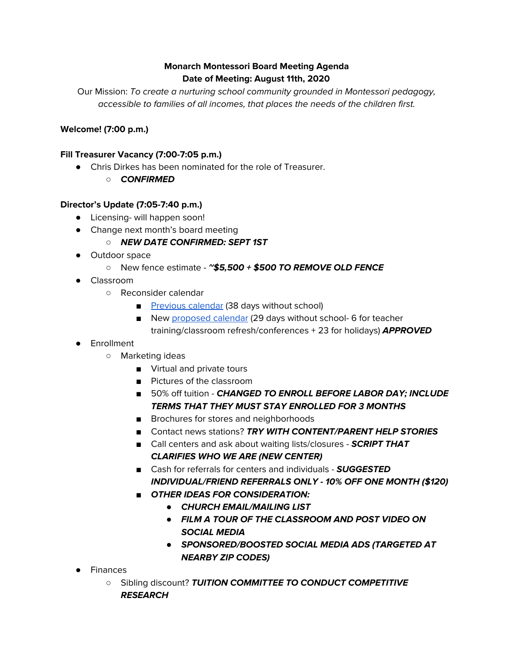# **Monarch Montessori Board Meeting Agenda Date of Meeting: August 11th, 2020**

Our Mission: To create a nurturing school community grounded in Montessori pedagogy, accessible to families of all incomes, that places the needs of the children first.

### **Welcome! (7:00 p.m.)**

#### **Fill Treasurer Vacancy (7:00-7:05 p.m.)**

- Chris Dirkes has been nominated for the role of Treasurer.
	- **CONFIRMED**

#### **Director's Update (7:05-7:40 p.m.)**

- Licensing- will happen soon!
- Change next month's board meeting

### ○ **NEW DATE CONFIRMED: SEPT 1ST**

- Outdoor space
	- New fence estimate **~\$5,500 + \$500 TO REMOVE OLD FENCE**
- Classroom
	- Reconsider calendar
		- [Previous](https://docs.google.com/document/d/10msfZg073Y-g9-apxjQNzSEpF4yBjil6bS0_fSv1lIU/edit?usp=sharing) calendar (38 days without school)
		- New [proposed](https://docs.google.com/document/d/19HIlkh9qKdCTDYSE3jVR7cqWZExNv3Svgjh2N-cjIZ0/edit?usp=sharing) calendar (29 days without school- 6 for teacher training/classroom refresh/conferences + 23 for holidays) **APPROVED**
- Enrollment
	- Marketing ideas
		- Virtual and private tours
		- Pictures of the classroom
		- 50% off tuition **CHANGED TO ENROLL BEFORE LABOR DAY; INCLUDE TERMS THAT THEY MUST STAY ENROLLED FOR 3 MONTHS**
		- Brochures for stores and neighborhoods
		- Contact news stations? **TRY WITH CONTENT/PARENT HELP STORIES**
		- Call centers and ask about waiting lists/closures **SCRIPT THAT CLARIFIES WHO WE ARE (NEW CENTER)**
		- Cash for referrals for centers and individuals **SUGGESTED INDIVIDUAL/FRIEND REFERRALS ONLY - 10% OFF ONE MONTH (\$120)**
		- *■* **OTHER IDEAS FOR CONSIDERATION:**
			- *●* **CHURCH EMAIL/MAILING LIST**
			- *●* **FILM A TOUR OF THE CLASSROOM AND POST VIDEO ON SOCIAL MEDIA**
			- *●* **SPONSORED/BOOSTED SOCIAL MEDIA ADS (TARGETED AT NEARBY ZIP CODES)**
- **Finances** 
	- Sibling discount? **TUITION COMMITTEE TO CONDUCT COMPETITIVE RESEARCH**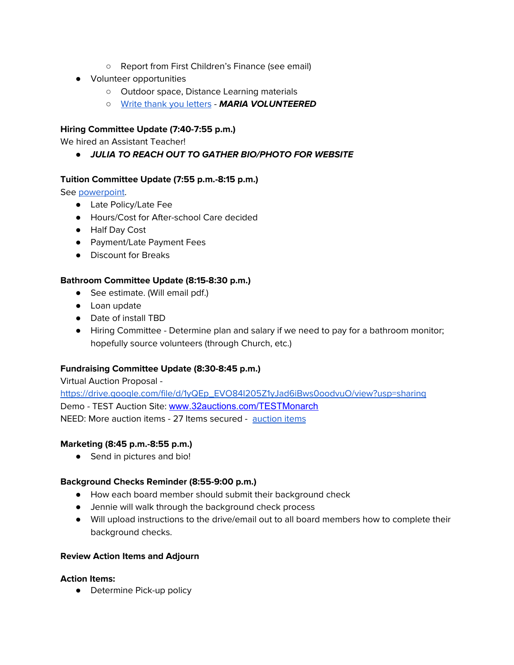- Report from First Children's Finance (see email)
- Volunteer opportunities
	- Outdoor space, Distance Learning materials
	- Write thank you [letters](https://docs.google.com/spreadsheets/d/1W8vl_544qjuVHb_m0r4mQ9RxY7uF8Y52MBCy6gT4jCA/edit?usp=sharing) **MARIA VOLUNTEERED**

## **Hiring Committee Update (7:40-7:55 p.m.)**

We hired an Assistant Teacher!

*●* **JULIA TO REACH OUT TO GATHER BIO/PHOTO FOR WEBSITE**

### **Tuition Committee Update (7:55 p.m.-8:15 p.m.)**

See [powerpoint](https://docs.google.com/presentation/d/1U68rlu5Zz7DL2Ej3gkVFvKtqV4WrjZwuRGxjMODMOl4/edit?usp=sharing).

- Late Policy/Late Fee
- Hours/Cost for After-school Care decided
- Half Day Cost
- Payment/Late Payment Fees
- Discount for Breaks

### **Bathroom Committee Update (8:15-8:30 p.m.)**

- See estimate. (Will email pdf.)
- Loan update
- Date of install TBD
- Hiring Committee Determine plan and salary if we need to pay for a bathroom monitor; hopefully source volunteers (through Church, etc.)

### **Fundraising Committee Update (8:30-8:45 p.m.)**

Virtual Auction Proposal [https://drive.google.com/file/d/1yQEp\\_EVO84I205Z1yJad6iBws0oodvuO/view?usp=sharing](https://drive.google.com/file/d/1yQEp_EVO84I205Z1yJad6iBws0oodvuO/view?usp=sharing) Demo - TEST Auction Site: [www.32auctions.com/TESTMonarch](https://www.32auctions.com/TESTMonarch) NEED: More auction items - 27 Items secured - [auction](https://docs.google.com/spreadsheets/d/1IhrmGc0IzE2p3mk5A3DK0ONLKD8eFxPVlXn35pxvs4s/edit?usp=sharing) items

### **Marketing (8:45 p.m.-8:55 p.m.)**

● Send in pictures and bio!

### **Background Checks Reminder (8:55-9:00 p.m.)**

- How each board member should submit their background check
- Jennie will walk through the background check process
- Will upload instructions to the drive/email out to all board members how to complete their background checks.

#### **Review Action Items and Adjourn**

#### **Action Items:**

• Determine Pick-up policy